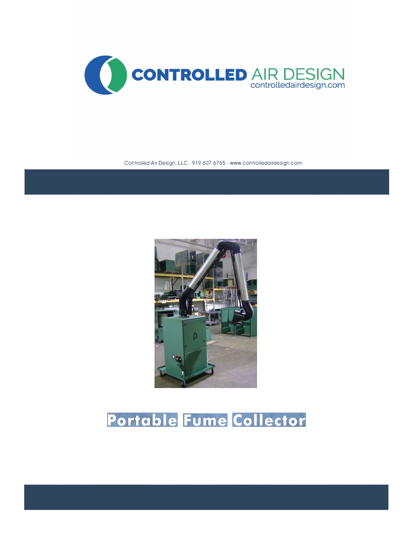

Controlled Air Design, LLC - 919 607 6765 - www.controlledairdesign.com



## Portable Fume Collector